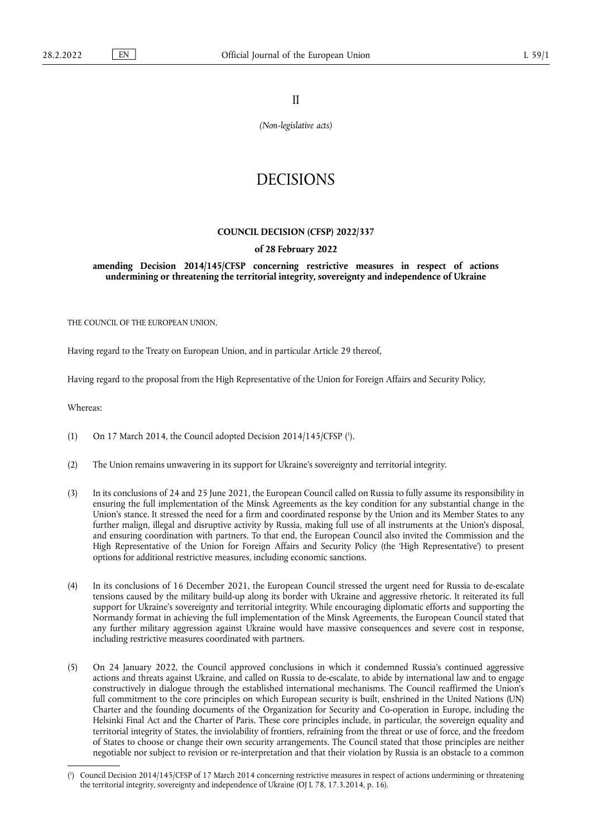II

*(Non-legislative acts)*

# DECISIONS

### **COUNCIL DECISION (CFSP) 2022/337**

#### **of 28 February 2022**

**amending Decision 2014/145/CFSP concerning restrictive measures in respect of actions undermining or threatening the territorial integrity, sovereignty and independence of Ukraine** 

THE COUNCIL OF THE EUROPEAN UNION,

Having regard to the Treaty on European Union, and in particular Article 29 thereof,

Having regard to the proposal from the High Representative of the Union for Foreign Affairs and Security Policy,

Whereas:

- <span id="page-0-1"></span>(1) On 17 March 2014, the Council adopted Decision 2014/145/CFSP ( 1 [\).](#page-0-0)
- (2) The Union remains unwavering in its support for Ukraine's sovereignty and territorial integrity.
- (3) In its conclusions of 24 and 25 June 2021, the European Council called on Russia to fully assume its responsibility in ensuring the full implementation of the Minsk Agreements as the key condition for any substantial change in the Union's stance. It stressed the need for a firm and coordinated response by the Union and its Member States to any further malign, illegal and disruptive activity by Russia, making full use of all instruments at the Union's disposal, and ensuring coordination with partners. To that end, the European Council also invited the Commission and the High Representative of the Union for Foreign Affairs and Security Policy (the 'High Representative') to present options for additional restrictive measures, including economic sanctions.
- (4) In its conclusions of 16 December 2021, the European Council stressed the urgent need for Russia to de-escalate tensions caused by the military build-up along its border with Ukraine and aggressive rhetoric. It reiterated its full support for Ukraine's sovereignty and territorial integrity. While encouraging diplomatic efforts and supporting the Normandy format in achieving the full implementation of the Minsk Agreements, the European Council stated that any further military aggression against Ukraine would have massive consequences and severe cost in response, including restrictive measures coordinated with partners.
- (5) On 24 January 2022, the Council approved conclusions in which it condemned Russia's continued aggressive actions and threats against Ukraine, and called on Russia to de-escalate, to abide by international law and to engage constructively in dialogue through the established international mechanisms. The Council reaffirmed the Union's full commitment to the core principles on which European security is built, enshrined in the United Nations (UN) Charter and the founding documents of the Organization for Security and Co-operation in Europe, including the Helsinki Final Act and the Charter of Paris. These core principles include, in particular, the sovereign equality and territorial integrity of States, the inviolability of frontiers, refraining from the threat or use of force, and the freedom of States to choose or change their own security arrangements. The Council stated that those principles are neither negotiable nor subject to revision or re-interpretation and that their violation by Russia is an obstacle to a common

<span id="page-0-0"></span>[<sup>\(</sup>](#page-0-1) 1 ) Council Decision 2014/145/CFSP of 17 March 2014 concerning restrictive measures in respect of actions undermining or threatening the territorial integrity, sovereignty and independence of Ukraine (OJ L 78, 17.3.2014, p. 16).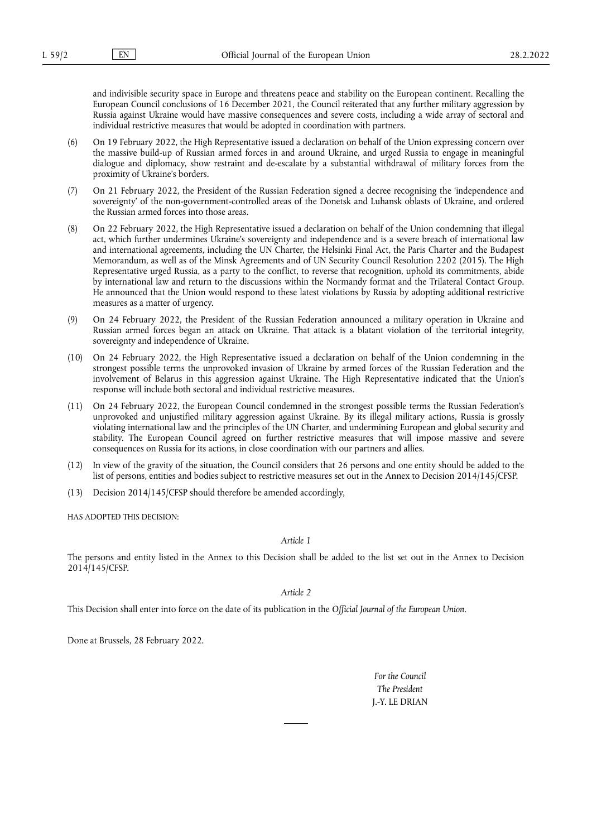and indivisible security space in Europe and threatens peace and stability on the European continent. Recalling the European Council conclusions of 16 December 2021, the Council reiterated that any further military aggression by Russia against Ukraine would have massive consequences and severe costs, including a wide array of sectoral and individual restrictive measures that would be adopted in coordination with partners.

- (6) On 19 February 2022, the High Representative issued a declaration on behalf of the Union expressing concern over the massive build-up of Russian armed forces in and around Ukraine, and urged Russia to engage in meaningful dialogue and diplomacy, show restraint and de-escalate by a substantial withdrawal of military forces from the proximity of Ukraine's borders.
- (7) On 21 February 2022, the President of the Russian Federation signed a decree recognising the 'independence and sovereignty' of the non-government-controlled areas of the Donetsk and Luhansk oblasts of Ukraine, and ordered the Russian armed forces into those areas.
- (8) On 22 February 2022, the High Representative issued a declaration on behalf of the Union condemning that illegal act, which further undermines Ukraine's sovereignty and independence and is a severe breach of international law and international agreements, including the UN Charter, the Helsinki Final Act, the Paris Charter and the Budapest Memorandum, as well as of the Minsk Agreements and of UN Security Council Resolution 2202 (2015). The High Representative urged Russia, as a party to the conflict, to reverse that recognition, uphold its commitments, abide by international law and return to the discussions within the Normandy format and the Trilateral Contact Group. He announced that the Union would respond to these latest violations by Russia by adopting additional restrictive measures as a matter of urgency.
- (9) On 24 February 2022, the President of the Russian Federation announced a military operation in Ukraine and Russian armed forces began an attack on Ukraine. That attack is a blatant violation of the territorial integrity, sovereignty and independence of Ukraine.
- (10) On 24 February 2022, the High Representative issued a declaration on behalf of the Union condemning in the strongest possible terms the unprovoked invasion of Ukraine by armed forces of the Russian Federation and the involvement of Belarus in this aggression against Ukraine. The High Representative indicated that the Union's response will include both sectoral and individual restrictive measures.
- (11) On 24 February 2022, the European Council condemned in the strongest possible terms the Russian Federation's unprovoked and unjustified military aggression against Ukraine. By its illegal military actions, Russia is grossly violating international law and the principles of the UN Charter, and undermining European and global security and stability. The European Council agreed on further restrictive measures that will impose massive and severe consequences on Russia for its actions, in close coordination with our partners and allies.
- (12) In view of the gravity of the situation, the Council considers that 26 persons and one entity should be added to the list of persons, entities and bodies subject to restrictive measures set out in the Annex to Decision 2014/145/CFSP.
- (13) Decision 2014/145/CFSP should therefore be amended accordingly,

HAS ADOPTED THIS DECISION:

## *Article 1*

The persons and entity listed in the Annex to this Decision shall be added to the list set out in the Annex to Decision 2014/145/CFSP.

*Article 2*

This Decision shall enter into force on the date of its publication in the *Official Journal of the European Union*.

Done at Brussels, 28 February 2022.

*For the Council The President* J.-Y. LE DRIAN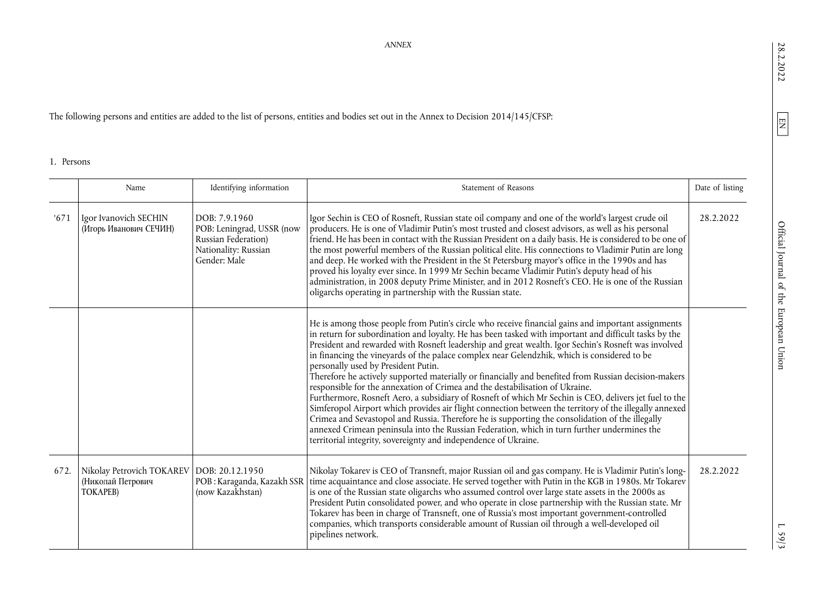28.2.2022

 $L$  59/3

*ANNEX* 

The following persons and entities are added to the list of persons, entities and bodies set out in the Annex to Decision 2014/145/CFSP:

1. Persons

|      | Name                                                                         | Identifying information                                                                                   | Statement of Reasons                                                                                                                                                                                                                                                                                                                                                                                                                                                                                                                                                                                                                                                                                                                                                                                                                                                                                                                                                                                                                                                                                                                      | Date of listing |
|------|------------------------------------------------------------------------------|-----------------------------------------------------------------------------------------------------------|-------------------------------------------------------------------------------------------------------------------------------------------------------------------------------------------------------------------------------------------------------------------------------------------------------------------------------------------------------------------------------------------------------------------------------------------------------------------------------------------------------------------------------------------------------------------------------------------------------------------------------------------------------------------------------------------------------------------------------------------------------------------------------------------------------------------------------------------------------------------------------------------------------------------------------------------------------------------------------------------------------------------------------------------------------------------------------------------------------------------------------------------|-----------------|
| 671  | Igor Ivanovich SECHIN<br>(Игорь Иванович СЕЧИН)                              | DOB: 7.9.1960<br>POB: Leningrad, USSR (now<br>Russian Federation)<br>Nationality: Russian<br>Gender: Male | Igor Sechin is CEO of Rosneft, Russian state oil company and one of the world's largest crude oil<br>producers. He is one of Vladimir Putin's most trusted and closest advisors, as well as his personal<br>friend. He has been in contact with the Russian President on a daily basis. He is considered to be one of<br>the most powerful members of the Russian political elite. His connections to Vladimir Putin are long<br>and deep. He worked with the President in the St Petersburg mayor's office in the 1990s and has<br>proved his loyalty ever since. In 1999 Mr Sechin became Vladimir Putin's deputy head of his<br>administration, in 2008 deputy Prime Minister, and in 2012 Rosneft's CEO. He is one of the Russian<br>oligarchs operating in partnership with the Russian state.                                                                                                                                                                                                                                                                                                                                       | 28.2.2022       |
|      |                                                                              |                                                                                                           | He is among those people from Putin's circle who receive financial gains and important assignments<br>in return for subordination and loyalty. He has been tasked with important and difficult tasks by the<br>President and rewarded with Rosneft leadership and great wealth. Igor Sechin's Rosneft was involved<br>in financing the vineyards of the palace complex near Gelendzhik, which is considered to be<br>personally used by President Putin.<br>Therefore he actively supported materially or financially and benefited from Russian decision-makers<br>responsible for the annexation of Crimea and the destabilisation of Ukraine.<br>Furthermore, Rosneft Aero, a subsidiary of Rosneft of which Mr Sechin is CEO, delivers jet fuel to the<br>Simferopol Airport which provides air flight connection between the territory of the illegally annexed<br>Crimea and Sevastopol and Russia. Therefore he is supporting the consolidation of the illegally<br>annexed Crimean peninsula into the Russian Federation, which in turn further undermines the<br>territorial integrity, sovereignty and independence of Ukraine. |                 |
| 672. | Nikolay Petrovich TOKAREV   DOB: 20.12.1950<br>(Николай Петрович<br>TOKAPEB) | POB: Karaganda, Kazakh SSR<br>(now Kazakhstan)                                                            | Nikolay Tokarev is CEO of Transneft, major Russian oil and gas company. He is Vladimir Putin's long-<br>time acquaintance and close associate. He served together with Putin in the KGB in 1980s. Mr Tokarev<br>is one of the Russian state oligarchs who assumed control over large state assets in the 2000s as<br>President Putin consolidated power, and who operate in close partnership with the Russian state. Mr<br>Tokarev has been in charge of Transneft, one of Russia's most important government-controlled<br>companies, which transports considerable amount of Russian oil through a well-developed oil<br>pipelines network.                                                                                                                                                                                                                                                                                                                                                                                                                                                                                            | 28.2.2022       |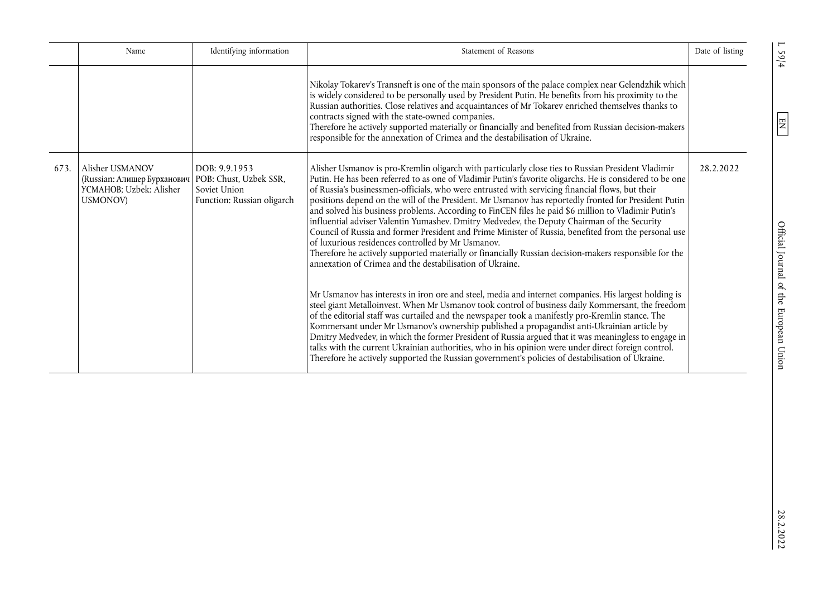|      | Name                                                                                  | Identifying information                                                               | Statement of Reasons                                                                                                                                                                                                                                                                                                                                                                                                                                                                                                                                                                                                                                                                                                                                                                                                                                                                                                                                              | Date of listing |
|------|---------------------------------------------------------------------------------------|---------------------------------------------------------------------------------------|-------------------------------------------------------------------------------------------------------------------------------------------------------------------------------------------------------------------------------------------------------------------------------------------------------------------------------------------------------------------------------------------------------------------------------------------------------------------------------------------------------------------------------------------------------------------------------------------------------------------------------------------------------------------------------------------------------------------------------------------------------------------------------------------------------------------------------------------------------------------------------------------------------------------------------------------------------------------|-----------------|
|      |                                                                                       |                                                                                       | Nikolay Tokarev's Transneft is one of the main sponsors of the palace complex near Gelendzhik which<br>is widely considered to be personally used by President Putin. He benefits from his proximity to the<br>Russian authorities. Close relatives and acquaintances of Mr Tokarev enriched themselves thanks to<br>contracts signed with the state-owned companies.<br>Therefore he actively supported materially or financially and benefited from Russian decision-makers<br>responsible for the annexation of Crimea and the destabilisation of Ukraine.                                                                                                                                                                                                                                                                                                                                                                                                     |                 |
| 673. | Alisher USMANOV<br>(Russian: Алишер Бурханович<br>YCMAHOB; Uzbek: Alisher<br>USMONOV) | DOB: 9.9.1953<br>POB: Chust, Uzbek SSR,<br>Soviet Union<br>Function: Russian oligarch | Alisher Usmanov is pro-Kremlin oligarch with particularly close ties to Russian President Vladimir<br>Putin. He has been referred to as one of Vladimir Putin's favorite oligarchs. He is considered to be one<br>of Russia's businessmen-officials, who were entrusted with servicing financial flows, but their<br>positions depend on the will of the President. Mr Usmanov has reportedly fronted for President Putin<br>and solved his business problems. According to FinCEN files he paid \$6 million to Vladimir Putin's<br>influential adviser Valentin Yumashev. Dmitry Medvedev, the Deputy Chairman of the Security<br>Council of Russia and former President and Prime Minister of Russia, benefited from the personal use<br>of luxurious residences controlled by Mr Usmanov.<br>Therefore he actively supported materially or financially Russian decision-makers responsible for the<br>annexation of Crimea and the destabilisation of Ukraine. | 28.2.2022       |
|      |                                                                                       |                                                                                       | Mr Usmanov has interests in iron ore and steel, media and internet companies. His largest holding is<br>steel giant Metalloinvest. When Mr Usmanov took control of business daily Kommersant, the freedom<br>of the editorial staff was curtailed and the newspaper took a manifestly pro-Kremlin stance. The<br>Kommersant under Mr Usmanov's ownership published a propagandist anti-Ukrainian article by<br>Dmitry Medvedev, in which the former President of Russia argued that it was meaningless to engage in<br>talks with the current Ukrainian authorities, who in his opinion were under direct foreign control.<br>Therefore he actively supported the Russian government's policies of destabilisation of Ukraine.                                                                                                                                                                                                                                    |                 |

 $L$  59/4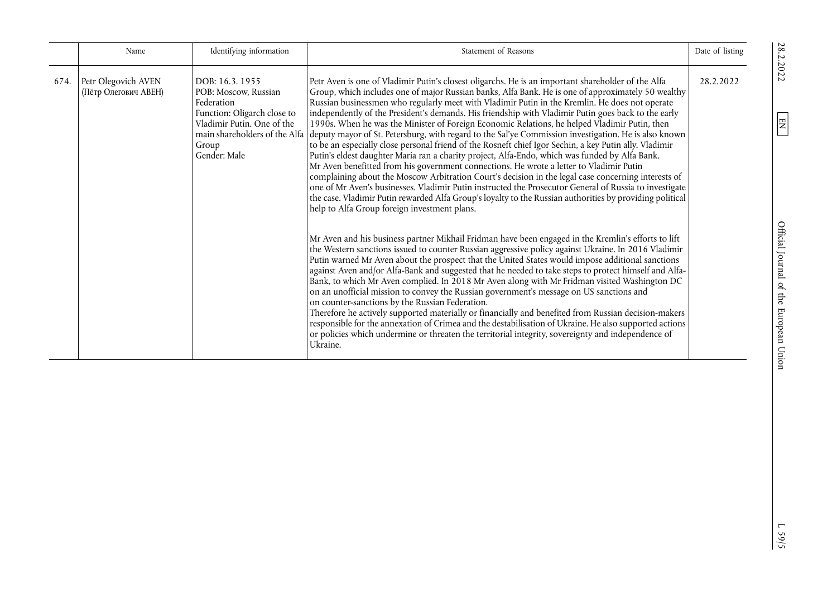|      | Name                                        | Identifying information                                                                                                                    | Statement of Reasons                                                                                                                                                                                                                                                                                                                                                                                                                                                                                                                                                                                                                                                                                                                                                                                                                                                                                                                                                                                                                                                                                                                                                                                                                                                                                                                         | Date of listing |
|------|---------------------------------------------|--------------------------------------------------------------------------------------------------------------------------------------------|----------------------------------------------------------------------------------------------------------------------------------------------------------------------------------------------------------------------------------------------------------------------------------------------------------------------------------------------------------------------------------------------------------------------------------------------------------------------------------------------------------------------------------------------------------------------------------------------------------------------------------------------------------------------------------------------------------------------------------------------------------------------------------------------------------------------------------------------------------------------------------------------------------------------------------------------------------------------------------------------------------------------------------------------------------------------------------------------------------------------------------------------------------------------------------------------------------------------------------------------------------------------------------------------------------------------------------------------|-----------------|
| 674. | Petr Olegovich AVEN<br>(Пётр Олегович АВЕН) | DOB: 16.3.1955<br>POB: Moscow, Russian<br>Federation<br>Function: Oligarch close to<br>Vladimir Putin. One of the<br>Group<br>Gender: Male | Petr Aven is one of Vladimir Putin's closest oligarchs. He is an important shareholder of the Alfa<br>Group, which includes one of major Russian banks, Alfa Bank. He is one of approximately 50 wealthy<br>Russian businessmen who regularly meet with Vladimir Putin in the Kremlin. He does not operate<br>independently of the President's demands. His friendship with Vladimir Putin goes back to the early<br>1990s. When he was the Minister of Foreign Economic Relations, he helped Vladimir Putin, then<br>main shareholders of the Alfa deputy mayor of St. Petersburg, with regard to the Sal'ye Commission investigation. He is also known<br>to be an especially close personal friend of the Rosneft chief Igor Sechin, a key Putin ally. Vladimir<br>Putin's eldest daughter Maria ran a charity project, Alfa-Endo, which was funded by Alfa Bank.<br>Mr Aven benefitted from his government connections. He wrote a letter to Vladimir Putin<br>complaining about the Moscow Arbitration Court's decision in the legal case concerning interests of<br>one of Mr Aven's businesses. Vladimir Putin instructed the Prosecutor General of Russia to investigate<br>the case. Vladimir Putin rewarded Alfa Group's loyalty to the Russian authorities by providing political<br>help to Alfa Group foreign investment plans. | 28.2.2022       |
|      |                                             |                                                                                                                                            | Mr Aven and his business partner Mikhail Fridman have been engaged in the Kremlin's efforts to lift<br>the Western sanctions issued to counter Russian aggressive policy against Ukraine. In 2016 Vladimir<br>Putin warned Mr Aven about the prospect that the United States would impose additional sanctions<br>against Aven and/or Alfa-Bank and suggested that he needed to take steps to protect himself and Alfa-<br>Bank, to which Mr Aven complied. In 2018 Mr Aven along with Mr Fridman visited Washington DC<br>on an unofficial mission to convey the Russian government's message on US sanctions and<br>on counter-sanctions by the Russian Federation.<br>Therefore he actively supported materially or financially and benefited from Russian decision-makers<br>responsible for the annexation of Crimea and the destabilisation of Ukraine. He also supported actions<br>or policies which undermine or threaten the territorial integrity, sovereignty and independence of<br>Ukraine.                                                                                                                                                                                                                                                                                                                                    |                 |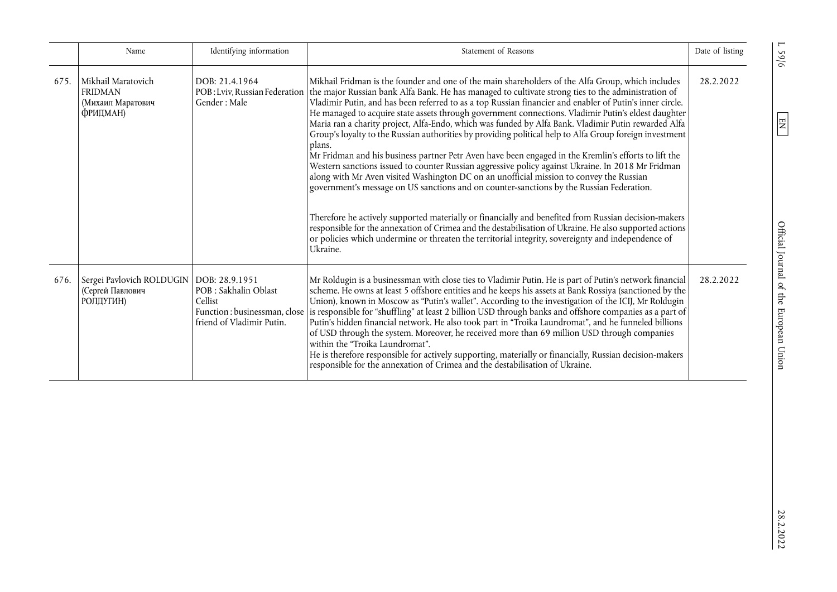|      | Name                                                                        | Identifying information                                                                       | Statement of Reasons                                                                                                                                                                                                                                                                                                                                                                                                                                                                                                                                                                                                                                                                                                                                                                                                                                                                                                                                                                                                                                                                                                                                                                                                                                                                                                                                                               | Date of listing |
|------|-----------------------------------------------------------------------------|-----------------------------------------------------------------------------------------------|------------------------------------------------------------------------------------------------------------------------------------------------------------------------------------------------------------------------------------------------------------------------------------------------------------------------------------------------------------------------------------------------------------------------------------------------------------------------------------------------------------------------------------------------------------------------------------------------------------------------------------------------------------------------------------------------------------------------------------------------------------------------------------------------------------------------------------------------------------------------------------------------------------------------------------------------------------------------------------------------------------------------------------------------------------------------------------------------------------------------------------------------------------------------------------------------------------------------------------------------------------------------------------------------------------------------------------------------------------------------------------|-----------------|
| 675. | Mikhail Maratovich<br><b>FRIDMAN</b><br>(Михаил Маратович<br>ФРИДМАН)       | DOB: 21.4.1964<br>POB: Lviv, Russian Federation<br>Gender: Male                               | Mikhail Fridman is the founder and one of the main shareholders of the Alfa Group, which includes<br>the major Russian bank Alfa Bank. He has managed to cultivate strong ties to the administration of<br>Vladimir Putin, and has been referred to as a top Russian financier and enabler of Putin's inner circle.<br>He managed to acquire state assets through government connections. Vladimir Putin's eldest daughter<br>Maria ran a charity project, Alfa-Endo, which was funded by Alfa Bank. Vladimir Putin rewarded Alfa<br>Group's loyalty to the Russian authorities by providing political help to Alfa Group foreign investment<br>plans.<br>Mr Fridman and his business partner Petr Aven have been engaged in the Kremlin's efforts to lift the<br>Western sanctions issued to counter Russian aggressive policy against Ukraine. In 2018 Mr Fridman<br>along with Mr Aven visited Washington DC on an unofficial mission to convey the Russian<br>government's message on US sanctions and on counter-sanctions by the Russian Federation.<br>Therefore he actively supported materially or financially and benefited from Russian decision-makers<br>responsible for the annexation of Crimea and the destabilisation of Ukraine. He also supported actions<br>or policies which undermine or threaten the territorial integrity, sovereignty and independence of | 28.2.2022       |
| 676. | Sergei Pavlovich ROLDUGIN   DOB: 28.9.1951<br>(Сергей Павлович<br>РОЛДУГИН) | POB : Sakhalin Oblast<br>Cellist<br>Function: businessman, close<br>friend of Vladimir Putin. | Ukraine.<br>Mr Roldugin is a businessman with close ties to Vladimir Putin. He is part of Putin's network financial<br>scheme. He owns at least 5 offshore entities and he keeps his assets at Bank Rossiya (sanctioned by the<br>Union), known in Moscow as "Putin's wallet". According to the investigation of the ICIJ, Mr Roldugin<br>is responsible for "shuffling" at least 2 billion USD through banks and offshore companies as a part of<br>Putin's hidden financial network. He also took part in "Troika Laundromat", and he funneled billions<br>of USD through the system. Moreover, he received more than 69 million USD through companies<br>within the "Troika Laundromat".<br>He is therefore responsible for actively supporting, materially or financially, Russian decision-makers<br>responsible for the annexation of Crimea and the destabilisation of Ukraine.                                                                                                                                                                                                                                                                                                                                                                                                                                                                                             | 28.2.2022       |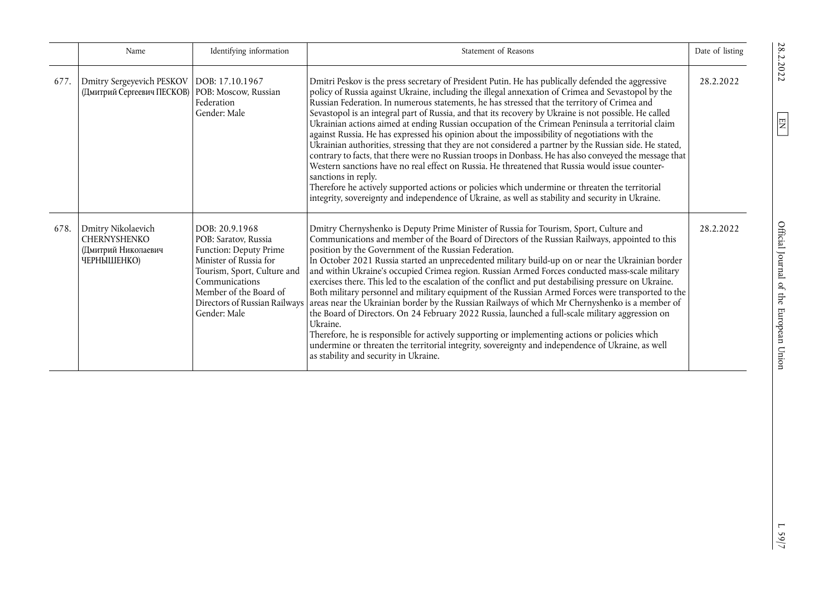|      | Name                                                                            | Identifying information                                                                                                                                                               | Statement of Reasons                                                                                                                                                                                                                                                                                                                                                                                                                                                                                                                                                                                                                                                                                                                                                                                                                                                                                                                                                                                                                                                                                                                                                           | Date of listing |
|------|---------------------------------------------------------------------------------|---------------------------------------------------------------------------------------------------------------------------------------------------------------------------------------|--------------------------------------------------------------------------------------------------------------------------------------------------------------------------------------------------------------------------------------------------------------------------------------------------------------------------------------------------------------------------------------------------------------------------------------------------------------------------------------------------------------------------------------------------------------------------------------------------------------------------------------------------------------------------------------------------------------------------------------------------------------------------------------------------------------------------------------------------------------------------------------------------------------------------------------------------------------------------------------------------------------------------------------------------------------------------------------------------------------------------------------------------------------------------------|-----------------|
| 677. | Dmitry Sergeyevich PESKOV<br>(Дмитрий Сергеевич ПЕСКОВ)                         | DOB: 17.10.1967<br>POB: Moscow, Russian<br>Federation<br>Gender: Male                                                                                                                 | Dmitri Peskov is the press secretary of President Putin. He has publically defended the aggressive<br>policy of Russia against Ukraine, including the illegal annexation of Crimea and Sevastopol by the<br>Russian Federation. In numerous statements, he has stressed that the territory of Crimea and<br>Sevastopol is an integral part of Russia, and that its recovery by Ukraine is not possible. He called<br>Ukrainian actions aimed at ending Russian occupation of the Crimean Peninsula a territorial claim<br>against Russia. He has expressed his opinion about the impossibility of negotiations with the<br>Ukrainian authorities, stressing that they are not considered a partner by the Russian side. He stated,<br>contrary to facts, that there were no Russian troops in Donbass. He has also conveyed the message that<br>Western sanctions have no real effect on Russia. He threatened that Russia would issue counter-<br>sanctions in reply.<br>Therefore he actively supported actions or policies which undermine or threaten the territorial<br>integrity, sovereignty and independence of Ukraine, as well as stability and security in Ukraine. | 28.2.2022       |
| 678. | Dmitry Nikolaevich<br><b>CHERNYSHENKO</b><br>(Дмитрий Николаевич<br>ЧЕРНЫШЕНКО) | DOB: 20.9.1968<br>POB: Saratov, Russia<br>Function: Deputy Prime<br>Minister of Russia for<br>Tourism, Sport, Culture and<br>Communications<br>Member of the Board of<br>Gender: Male | Dmitry Chernyshenko is Deputy Prime Minister of Russia for Tourism, Sport, Culture and<br>Communications and member of the Board of Directors of the Russian Railways, appointed to this<br>position by the Government of the Russian Federation.<br>In October 2021 Russia started an unprecedented military build-up on or near the Ukrainian border<br>and within Ukraine's occupied Crimea region. Russian Armed Forces conducted mass-scale military<br>exercises there. This led to the escalation of the conflict and put destabilising pressure on Ukraine.<br>Both military personnel and military equipment of the Russian Armed Forces were transported to the<br>Directors of Russian Railways areas near the Ukrainian border by the Russian Railways of which Mr Chernyshenko is a member of<br>the Board of Directors. On 24 February 2022 Russia, launched a full-scale military aggression on<br>Ukraine.<br>Therefore, he is responsible for actively supporting or implementing actions or policies which<br>undermine or threaten the territorial integrity, sovereignty and independence of Ukraine, as well<br>as stability and security in Ukraine.     | 28.2.2022       |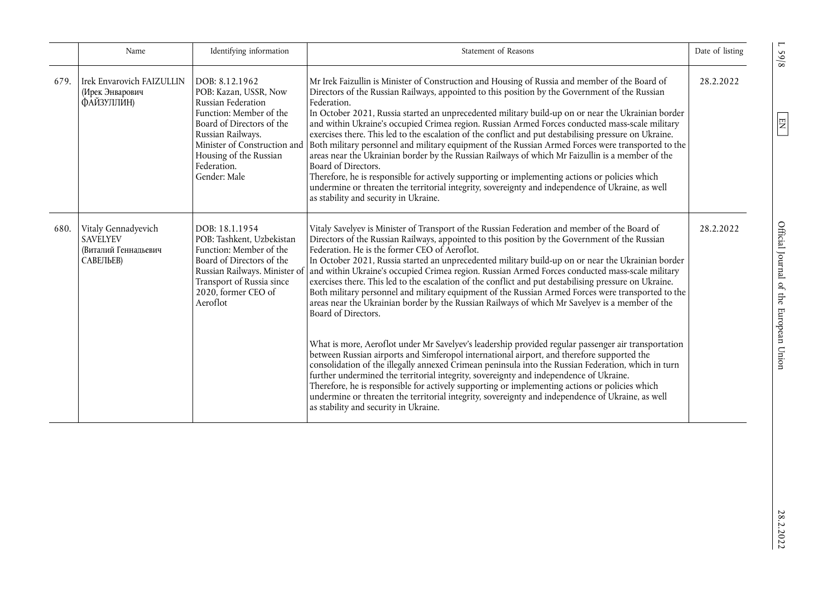|      | Name                                                                        | Identifying information                                                                                                                                                                                                             | Statement of Reasons                                                                                                                                                                                                                                                                                                                                                                                                                                                                                                                                                                                                                                                                                                                                                                                                                                                                                                                                                                                                                                                                                                                                                                                                                                                                                                                                                                                                                                      | Date of listing |
|------|-----------------------------------------------------------------------------|-------------------------------------------------------------------------------------------------------------------------------------------------------------------------------------------------------------------------------------|-----------------------------------------------------------------------------------------------------------------------------------------------------------------------------------------------------------------------------------------------------------------------------------------------------------------------------------------------------------------------------------------------------------------------------------------------------------------------------------------------------------------------------------------------------------------------------------------------------------------------------------------------------------------------------------------------------------------------------------------------------------------------------------------------------------------------------------------------------------------------------------------------------------------------------------------------------------------------------------------------------------------------------------------------------------------------------------------------------------------------------------------------------------------------------------------------------------------------------------------------------------------------------------------------------------------------------------------------------------------------------------------------------------------------------------------------------------|-----------------|
| 679. | Irek Envarovich FAIZULLIN<br>(Ирек Энварович<br>ФАЙЗУЛЛИН)                  | DOB: 8.12.1962<br>POB: Kazan, USSR, Now<br>Russian Federation<br>Function: Member of the<br>Board of Directors of the<br>Russian Railways.<br>Minister of Construction and<br>Housing of the Russian<br>Federation.<br>Gender: Male | Mr Irek Faizullin is Minister of Construction and Housing of Russia and member of the Board of<br>Directors of the Russian Railways, appointed to this position by the Government of the Russian<br>Federation.<br>In October 2021, Russia started an unprecedented military build-up on or near the Ukrainian border<br>and within Ukraine's occupied Crimea region. Russian Armed Forces conducted mass-scale military<br>exercises there. This led to the escalation of the conflict and put destabilising pressure on Ukraine.<br>Both military personnel and military equipment of the Russian Armed Forces were transported to the<br>areas near the Ukrainian border by the Russian Railways of which Mr Faizullin is a member of the<br>Board of Directors.<br>Therefore, he is responsible for actively supporting or implementing actions or policies which<br>undermine or threaten the territorial integrity, sovereignty and independence of Ukraine, as well<br>as stability and security in Ukraine.                                                                                                                                                                                                                                                                                                                                                                                                                                       | 28.2.2022       |
| 680. | Vitaly Gennadyevich<br><b>SAVELYEV</b><br>(Виталий Геннальевич<br>САВЕЛЬЕВ) | DOB: 18.1.1954<br>POB: Tashkent, Uzbekistan<br>Function: Member of the<br>Board of Directors of the<br>Russian Railways. Minister of<br>Transport of Russia since<br>2020, former CEO of<br>Aeroflot                                | Vitaly Savelyev is Minister of Transport of the Russian Federation and member of the Board of<br>Directors of the Russian Railways, appointed to this position by the Government of the Russian<br>Federation. He is the former CEO of Aeroflot.<br>In October 2021, Russia started an unprecedented military build-up on or near the Ukrainian border<br>and within Ukraine's occupied Crimea region. Russian Armed Forces conducted mass-scale military<br>exercises there. This led to the escalation of the conflict and put destabilising pressure on Ukraine.<br>Both military personnel and military equipment of the Russian Armed Forces were transported to the<br>areas near the Ukrainian border by the Russian Railways of which Mr Savelyev is a member of the<br>Board of Directors.<br>What is more, Aeroflot under Mr Savelyev's leadership provided regular passenger air transportation<br>between Russian airports and Simferopol international airport, and therefore supported the<br>consolidation of the illegally annexed Crimean peninsula into the Russian Federation, which in turn<br>further undermined the territorial integrity, sovereignty and independence of Ukraine.<br>Therefore, he is responsible for actively supporting or implementing actions or policies which<br>undermine or threaten the territorial integrity, sovereignty and independence of Ukraine, as well<br>as stability and security in Ukraine. | 28.2.2022       |

 $1.59/8$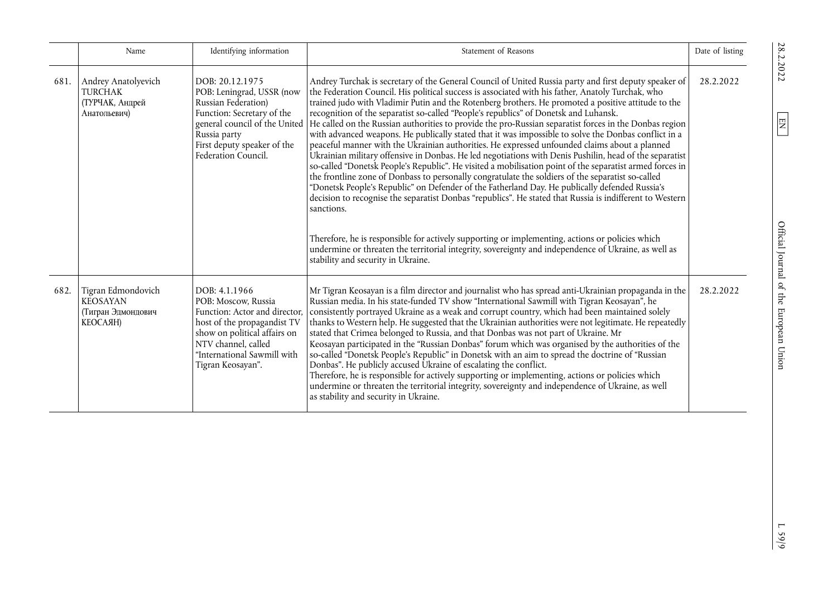|      | Name                                                                           | Identifying information                                                                                                                                                                                         | Statement of Reasons                                                                                                                                                                                                                                                                                                                                                                                                                                                                                                                                                                                                                                                                                                                                                                                                                                                                                                                                                                                                                                                                                                                                                                                                                                                                                                                                                                                                                                                                                                                                                 | Date of listing |
|------|--------------------------------------------------------------------------------|-----------------------------------------------------------------------------------------------------------------------------------------------------------------------------------------------------------------|----------------------------------------------------------------------------------------------------------------------------------------------------------------------------------------------------------------------------------------------------------------------------------------------------------------------------------------------------------------------------------------------------------------------------------------------------------------------------------------------------------------------------------------------------------------------------------------------------------------------------------------------------------------------------------------------------------------------------------------------------------------------------------------------------------------------------------------------------------------------------------------------------------------------------------------------------------------------------------------------------------------------------------------------------------------------------------------------------------------------------------------------------------------------------------------------------------------------------------------------------------------------------------------------------------------------------------------------------------------------------------------------------------------------------------------------------------------------------------------------------------------------------------------------------------------------|-----------------|
| 681. | Andrey Anatolyevich<br><b>TURCHAK</b><br>(ТУРЧАК, Андрей<br>Анатольевич)       | DOB: 20.12.1975<br>POB: Leningrad, USSR (now<br>Russian Federation)<br>Function: Secretary of the<br>Russia party<br>First deputy speaker of the<br>Federation Council.                                         | Andrey Turchak is secretary of the General Council of United Russia party and first deputy speaker of<br>the Federation Council. His political success is associated with his father, Anatoly Turchak, who<br>trained judo with Vladimir Putin and the Rotenberg brothers. He promoted a positive attitude to the<br>recognition of the separatist so-called "People's republics" of Donetsk and Luhansk.<br>general council of the United  He called on the Russian authorities to provide the pro-Russian separatist forces in the Donbas region<br>with advanced weapons. He publically stated that it was impossible to solve the Donbas conflict in a<br>peaceful manner with the Ukrainian authorities. He expressed unfounded claims about a planned<br>Ukrainian military offensive in Donbas. He led negotiations with Denis Pushilin, head of the separatist<br>so-called "Donetsk People's Republic". He visited a mobilisation point of the separatist armed forces in<br>the frontline zone of Donbass to personally congratulate the soldiers of the separatist so-called<br>"Donetsk People's Republic" on Defender of the Fatherland Day. He publically defended Russia's<br>decision to recognise the separatist Donbas "republics". He stated that Russia is indifferent to Western<br>sanctions.<br>Therefore, he is responsible for actively supporting or implementing, actions or policies which<br>undermine or threaten the territorial integrity, sovereignty and independence of Ukraine, as well as<br>stability and security in Ukraine. | 28.2.2022       |
| 682. | Tigran Edmondovich<br><b>KEOSAYAN</b><br>(Тигран Эдмондович<br><b>КЕОСАЯН)</b> | DOB: 4.1.1966<br>POB: Moscow, Russia<br>Function: Actor and director,<br>host of the propagandist TV<br>show on political affairs on<br>NTV channel, called<br>"International Sawmill with<br>Tigran Keosayan". | Mr Tigran Keosayan is a film director and journalist who has spread anti-Ukrainian propaganda in the<br>Russian media. In his state-funded TV show "International Sawmill with Tigran Keosayan", he<br>consistently portrayed Ukraine as a weak and corrupt country, which had been maintained solely<br>thanks to Western help. He suggested that the Ukrainian authorities were not legitimate. He repeatedly<br>stated that Crimea belonged to Russia, and that Donbas was not part of Ukraine. Mr<br>Keosayan participated in the "Russian Donbas" forum which was organised by the authorities of the<br>so-called "Donetsk People's Republic" in Donetsk with an aim to spread the doctrine of "Russian<br>Donbas". He publicly accused Ukraine of escalating the conflict.<br>Therefore, he is responsible for actively supporting or implementing, actions or policies which<br>undermine or threaten the territorial integrity, sovereignty and independence of Ukraine, as well<br>as stability and security in Ukraine.                                                                                                                                                                                                                                                                                                                                                                                                                                                                                                                                   | 28.2.2022       |

 $1.59/9$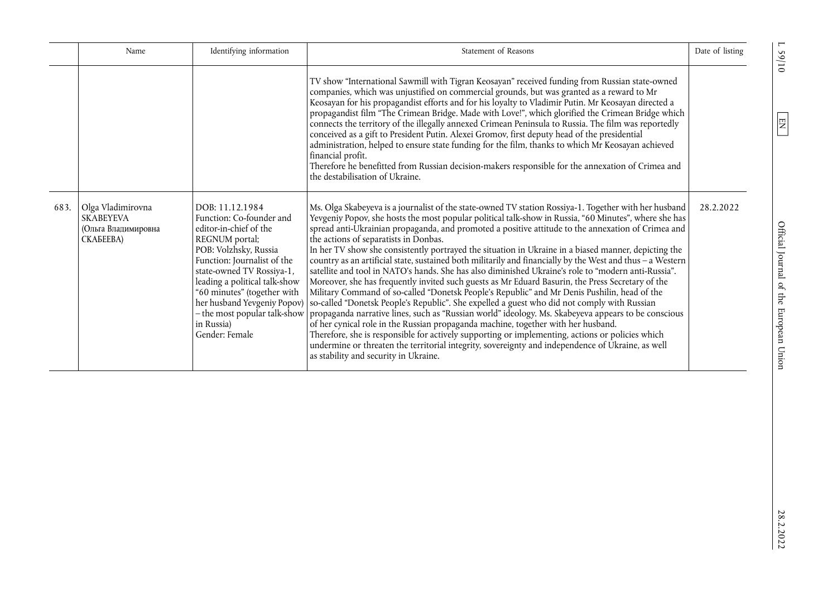|      | Name                                                                      | Identifying information                                                                                                                                                                                                                                                                                     | Statement of Reasons                                                                                                                                                                                                                                                                                                                                                                                                                                                                                                                                                                                                                                                                                                                                                                                                                                                                                                                                                                                                                                                                                                                                                                                                                                                                                                                                                                                                                                                        | Date of listing |
|------|---------------------------------------------------------------------------|-------------------------------------------------------------------------------------------------------------------------------------------------------------------------------------------------------------------------------------------------------------------------------------------------------------|-----------------------------------------------------------------------------------------------------------------------------------------------------------------------------------------------------------------------------------------------------------------------------------------------------------------------------------------------------------------------------------------------------------------------------------------------------------------------------------------------------------------------------------------------------------------------------------------------------------------------------------------------------------------------------------------------------------------------------------------------------------------------------------------------------------------------------------------------------------------------------------------------------------------------------------------------------------------------------------------------------------------------------------------------------------------------------------------------------------------------------------------------------------------------------------------------------------------------------------------------------------------------------------------------------------------------------------------------------------------------------------------------------------------------------------------------------------------------------|-----------------|
|      |                                                                           |                                                                                                                                                                                                                                                                                                             | TV show "International Sawmill with Tigran Keosayan" received funding from Russian state-owned<br>companies, which was unjustified on commercial grounds, but was granted as a reward to Mr<br>Keosayan for his propagandist efforts and for his loyalty to Vladimir Putin. Mr Keosayan directed a<br>propagandist film "The Crimean Bridge. Made with Love!", which glorified the Crimean Bridge which<br>connects the territory of the illegally annexed Crimean Peninsula to Russia. The film was reportedly<br>conceived as a gift to President Putin. Alexei Gromov, first deputy head of the presidential<br>administration, helped to ensure state funding for the film, thanks to which Mr Keosayan achieved<br>financial profit.<br>Therefore he benefitted from Russian decision-makers responsible for the annexation of Crimea and<br>the destabilisation of Ukraine.                                                                                                                                                                                                                                                                                                                                                                                                                                                                                                                                                                                           |                 |
| 683. | Olga Vladimirovna<br><b>SKABEYEVA</b><br>(Ольга Владимировна<br>CKAGEEBA) | DOB: 11.12.1984<br>Function: Co-founder and<br>editor-in-chief of the<br>REGNUM portal;<br>POB: Volzhsky, Russia<br>Function: Journalist of the<br>state-owned TV Rossiya-1,<br>leading a political talk-show<br>"60 minutes" (together with<br>her husband Yevgeniy Popov)<br>in Russia)<br>Gender: Female | Ms. Olga Skabeyeva is a journalist of the state-owned TV station Rossiya-1. Together with her husband<br>Yevgeniy Popov, she hosts the most popular political talk-show in Russia, "60 Minutes", where she has<br>spread anti-Ukrainian propaganda, and promoted a positive attitude to the annexation of Crimea and<br>the actions of separatists in Donbas.<br>In her TV show she consistently portrayed the situation in Ukraine in a biased manner, depicting the<br>country as an artificial state, sustained both militarily and financially by the West and thus - a Western<br>satellite and tool in NATO's hands. She has also diminished Ukraine's role to "modern anti-Russia".<br>Moreover, she has frequently invited such guests as Mr Eduard Basurin, the Press Secretary of the<br>Military Command of so-called "Donetsk People's Republic" and Mr Denis Pushilin, head of the<br>so-called "Donetsk People's Republic". She expelled a guest who did not comply with Russian<br>- the most popular talk-show   propaganda narrative lines, such as "Russian world" ideology. Ms. Skabeyeva appears to be conscious<br>of her cynical role in the Russian propaganda machine, together with her husband.<br>Therefore, she is responsible for actively supporting or implementing, actions or policies which<br>undermine or threaten the territorial integrity, sovereignty and independence of Ukraine, as well<br>as stability and security in Ukraine. | 28.2.2022       |

28.2.2022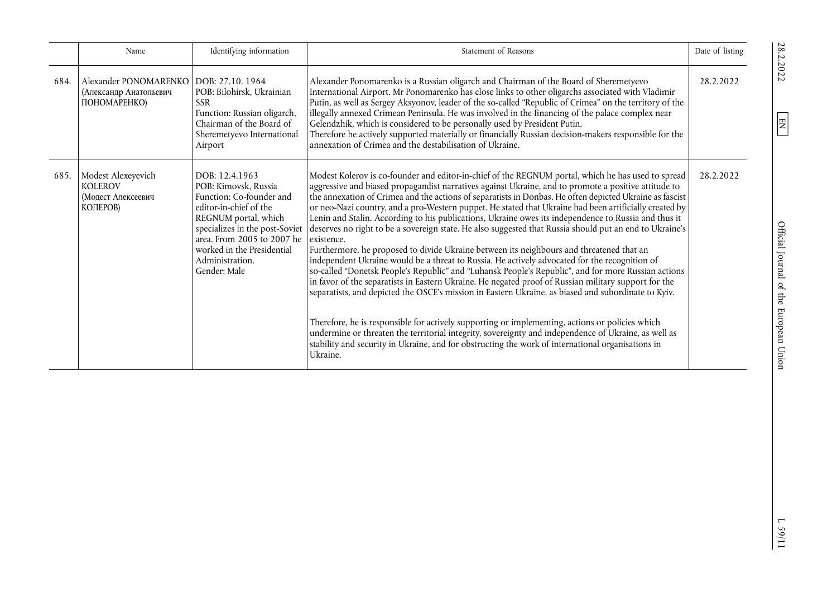|      | Name                                                                   | Identifying information                                                                                                                                                                                                                               | Statement of Reasons                                                                                                                                                                                                                                                                                                                                                                                                                                                                                                                                                                                                                                                                                                                                                                                                                                                                                                                                                                                                                                                                                                                                                                                                                                                                                                                                                                                                                                                                                            | Date of listing |
|------|------------------------------------------------------------------------|-------------------------------------------------------------------------------------------------------------------------------------------------------------------------------------------------------------------------------------------------------|-----------------------------------------------------------------------------------------------------------------------------------------------------------------------------------------------------------------------------------------------------------------------------------------------------------------------------------------------------------------------------------------------------------------------------------------------------------------------------------------------------------------------------------------------------------------------------------------------------------------------------------------------------------------------------------------------------------------------------------------------------------------------------------------------------------------------------------------------------------------------------------------------------------------------------------------------------------------------------------------------------------------------------------------------------------------------------------------------------------------------------------------------------------------------------------------------------------------------------------------------------------------------------------------------------------------------------------------------------------------------------------------------------------------------------------------------------------------------------------------------------------------|-----------------|
| 684. | Alexander PONOMARENKO<br>(Александр Анатольевич<br>ПОНОМАРЕНКО)        | DOB: 27.10, 1964<br>POB: Bilohirsk, Ukrainian<br><b>SSR</b><br>Function: Russian oligarch,<br>Chairman of the Board of<br>Sheremetyevo International<br>Airport                                                                                       | Alexander Ponomarenko is a Russian oligarch and Chairman of the Board of Sheremetyevo<br>International Airport. Mr Ponomarenko has close links to other oligarchs associated with Vladimir<br>Putin, as well as Sergey Aksyonov, leader of the so-called "Republic of Crimea" on the territory of the<br>illegally annexed Crimean Peninsula. He was involved in the financing of the palace complex near<br>Gelendzhik, which is considered to be personally used by President Putin.<br>Therefore he actively supported materially or financially Russian decision-makers responsible for the<br>annexation of Crimea and the destabilisation of Ukraine.                                                                                                                                                                                                                                                                                                                                                                                                                                                                                                                                                                                                                                                                                                                                                                                                                                                     | 28.2.2022       |
| 685. | Modest Alexeyevich<br><b>KOLEROV</b><br>(Мопест Алексеевич<br>КОЛЕРОВ) | DOB: 12.4.1963<br>POB: Kimovsk, Russia<br>Function: Co-founder and<br>editor-in-chief of the<br>REGNUM portal, which<br>specializes in the post-Soviet<br>area. From 2005 to 2007 he<br>worked in the Presidential<br>Administration.<br>Gender: Male | Modest Kolerov is co-founder and editor-in-chief of the REGNUM portal, which he has used to spread<br>aggressive and biased propagandist narratives against Ukraine, and to promote a positive attitude to<br>the annexation of Crimea and the actions of separatists in Donbas. He often depicted Ukraine as fascist<br>or neo-Nazi country, and a pro-Western puppet. He stated that Ukraine had been artificially created by<br>Lenin and Stalin. According to his publications, Ukraine owes its independence to Russia and thus it<br>deserves no right to be a sovereign state. He also suggested that Russia should put an end to Ukraine's<br>existence.<br>Furthermore, he proposed to divide Ukraine between its neighbours and threatened that an<br>independent Ukraine would be a threat to Russia. He actively advocated for the recognition of<br>so-called "Donetsk People's Republic" and "Luhansk People's Republic", and for more Russian actions<br>in favor of the separatists in Eastern Ukraine. He negated proof of Russian military support for the<br>separatists, and depicted the OSCE's mission in Eastern Ukraine, as biased and subordinate to Kyiv.<br>Therefore, he is responsible for actively supporting or implementing, actions or policies which<br>undermine or threaten the territorial integrity, sovereignty and independence of Ukraine, as well as<br>stability and security in Ukraine, and for obstructing the work of international organisations in<br>Ukraine. | 28.2.2022       |

28.2.2022

 $\boxed{\text{EN}}$ 

 $L$ 59/11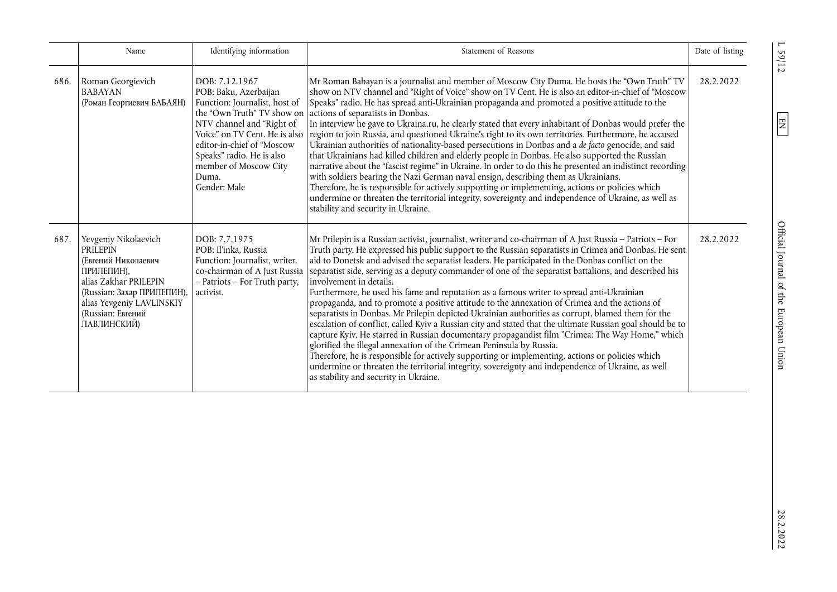|      | Name                                                                                                                                                                                                 | Identifying information                                                                                                                                                                                            | Statement of Reasons                                                                                                                                                                                                                                                                                                                                                                                                                                                                                                                                                                                                                                                                                                                                                                                                                                                                                                                                                                                                                                                                                                                                                                                                                                                                                | Date of listing |
|------|------------------------------------------------------------------------------------------------------------------------------------------------------------------------------------------------------|--------------------------------------------------------------------------------------------------------------------------------------------------------------------------------------------------------------------|-----------------------------------------------------------------------------------------------------------------------------------------------------------------------------------------------------------------------------------------------------------------------------------------------------------------------------------------------------------------------------------------------------------------------------------------------------------------------------------------------------------------------------------------------------------------------------------------------------------------------------------------------------------------------------------------------------------------------------------------------------------------------------------------------------------------------------------------------------------------------------------------------------------------------------------------------------------------------------------------------------------------------------------------------------------------------------------------------------------------------------------------------------------------------------------------------------------------------------------------------------------------------------------------------------|-----------------|
| 686. | Roman Georgievich<br><b>BABAYAN</b><br>(Роман Георгиевич БАБАЯН)                                                                                                                                     | DOB: 7.12.1967<br>POB: Baku, Azerbaijan<br>Function: Journalist, host of<br>NTV channel and "Right of<br>editor-in-chief of "Moscow<br>Speaks" radio. He is also<br>member of Moscow City<br>Duma.<br>Gender: Male | Mr Roman Babayan is a journalist and member of Moscow City Duma. He hosts the "Own Truth" TV<br>show on NTV channel and "Right of Voice" show on TV Cent. He is also an editor-in-chief of "Moscow<br>Speaks" radio. He has spread anti-Ukrainian propaganda and promoted a positive attitude to the<br>the "Own Truth" TV show on actions of separatists in Donbas.<br>In interview he gave to Ukraina.ru, he clearly stated that every inhabitant of Donbas would prefer the<br>Voice" on TV Cent. He is also region to join Russia, and questioned Ukraine's right to its own territories. Furthermore, he accused<br>Ukrainian authorities of nationality-based persecutions in Donbas and a de facto genocide, and said<br>that Ukrainians had killed children and elderly people in Donbas. He also supported the Russian<br>narrative about the "fascist regime" in Ukraine. In order to do this he presented an indistinct recording<br>with soldiers bearing the Nazi German naval ensign, describing them as Ukrainians.<br>Therefore, he is responsible for actively supporting or implementing, actions or policies which<br>undermine or threaten the territorial integrity, sovereignty and independence of Ukraine, as well as<br>stability and security in Ukraine.                 | 28.2.2022       |
| 687. | Yevgeniy Nikolaevich<br><b>PRILEPIN</b><br>(Евгений Николаевич<br>ПРИЛЕПИН),<br>alias Zakhar PRILEPIN<br>(Russian: Захар ПРИЛЕПИН),<br>alias Yevgeniy LAVLINSKIY<br>(Russian: Евгений<br>ЛАВЛИНСКИЙ) | DOB: 7.7.1975<br>POB: Il'inka, Russia<br>Function: Journalist, writer,<br>co-chairman of A Just Russia<br>- Patriots - For Truth party,<br>activist.                                                               | Mr Prilepin is a Russian activist, journalist, writer and co-chairman of A Just Russia - Patriots - For<br>Truth party. He expressed his public support to the Russian separatists in Crimea and Donbas. He sent<br>aid to Donetsk and advised the separatist leaders. He participated in the Donbas conflict on the<br>separatist side, serving as a deputy commander of one of the separatist battalions, and described his<br>involvement in details.<br>Furthermore, he used his fame and reputation as a famous writer to spread anti-Ukrainian<br>propaganda, and to promote a positive attitude to the annexation of Crimea and the actions of<br>separatists in Donbas. Mr Prilepin depicted Ukrainian authorities as corrupt, blamed them for the<br>escalation of conflict, called Kyiv a Russian city and stated that the ultimate Russian goal should be to<br>capture Kyiv. He starred in Russian documentary propagandist film "Crimea: The Way Home," which<br>glorified the illegal annexation of the Crimean Peninsula by Russia.<br>Therefore, he is responsible for actively supporting or implementing, actions or policies which<br>undermine or threaten the territorial integrity, sovereignty and independence of Ukraine, as well<br>as stability and security in Ukraine. | 28.2.2022       |

L 59/12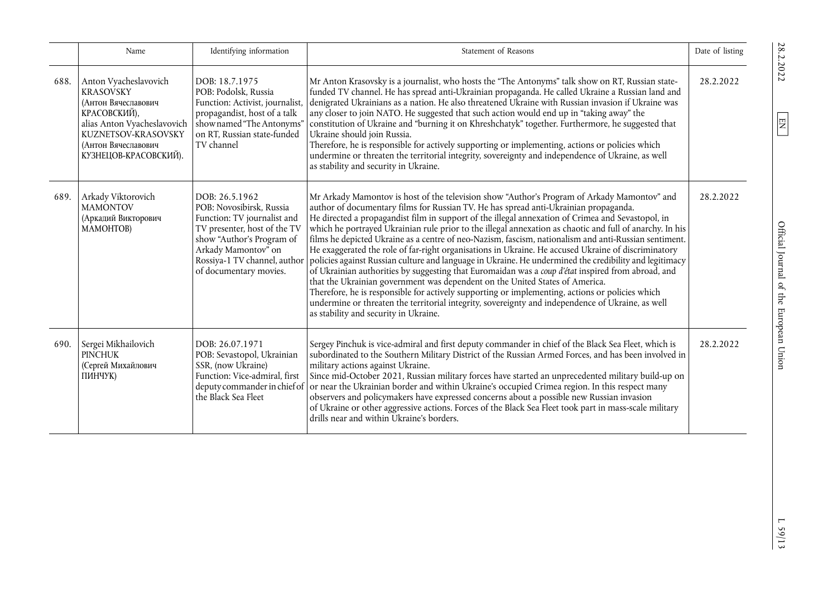|      | Name                                                                                                                                                                                   | Identifying information                                                                                                                                                                 | Statement of Reasons                                                                                                                                                                                                                                                                                                                                                                                                                                                                                                                                                                                                                                                                                                                                                                                                                                                                                                                                                                                                                                                                                                                                                                                 | Date of listing |
|------|----------------------------------------------------------------------------------------------------------------------------------------------------------------------------------------|-----------------------------------------------------------------------------------------------------------------------------------------------------------------------------------------|------------------------------------------------------------------------------------------------------------------------------------------------------------------------------------------------------------------------------------------------------------------------------------------------------------------------------------------------------------------------------------------------------------------------------------------------------------------------------------------------------------------------------------------------------------------------------------------------------------------------------------------------------------------------------------------------------------------------------------------------------------------------------------------------------------------------------------------------------------------------------------------------------------------------------------------------------------------------------------------------------------------------------------------------------------------------------------------------------------------------------------------------------------------------------------------------------|-----------------|
| 688. | Anton Vyacheslavovich<br><b>KRASOVSKY</b><br>(Антон Вячеславович<br>КРАСОВСКИЙ),<br>alias Anton Vyacheslavovich<br>KUZNETSOV-KRASOVSKY<br>(Антон Вячеславович<br>КУЗНЕЦОВ-КРАСОВСКИЙ). | DOB: 18.7.1975<br>POB: Podolsk, Russia<br>Function: Activist, journalist,<br>propagandist, host of a talk<br>show named "The Antonyms"<br>on RT, Russian state-funded<br>TV channel     | Mr Anton Krasovsky is a journalist, who hosts the "The Antonyms" talk show on RT, Russian state-<br>funded TV channel. He has spread anti-Ukrainian propaganda. He called Ukraine a Russian land and<br>denigrated Ukrainians as a nation. He also threatened Ukraine with Russian invasion if Ukraine was<br>any closer to join NATO. He suggested that such action would end up in "taking away" the<br>constitution of Ukraine and "burning it on Khreshchatyk" together. Furthermore, he suggested that<br>Ukraine should join Russia.<br>Therefore, he is responsible for actively supporting or implementing, actions or policies which<br>undermine or threaten the territorial integrity, sovereignty and independence of Ukraine, as well<br>as stability and security in Ukraine.                                                                                                                                                                                                                                                                                                                                                                                                          | 28.2.2022       |
| 689. | Arkady Viktorovich<br><b>MAMONTOV</b><br>(Аркадий Викторович<br>MAMOHTOB)                                                                                                              | DOB: 26.5.1962<br>POB: Novosibirsk, Russia<br>Function: TV journalist and<br>TV presenter, host of the TV<br>show "Author's Program of<br>Arkady Mamontov" on<br>of documentary movies. | Mr Arkady Mamontov is host of the television show "Author's Program of Arkady Mamontov" and<br>author of documentary films for Russian TV. He has spread anti-Ukrainian propaganda.<br>He directed a propagandist film in support of the illegal annexation of Crimea and Sevastopol, in<br>which he portrayed Ukrainian rule prior to the illegal annexation as chaotic and full of anarchy. In his<br>films he depicted Ukraine as a centre of neo-Nazism, fascism, nationalism and anti-Russian sentiment.<br>He exaggerated the role of far-right organisations in Ukraine. He accused Ukraine of discriminatory<br>Rossiya-1 TV channel, author   policies against Russian culture and language in Ukraine. He undermined the credibility and legitimacy<br>of Ukrainian authorities by suggesting that Euromaidan was a coup d'état inspired from abroad, and<br>that the Ukrainian government was dependent on the United States of America.<br>Therefore, he is responsible for actively supporting or implementing, actions or policies which<br>undermine or threaten the territorial integrity, sovereignty and independence of Ukraine, as well<br>as stability and security in Ukraine. | 28.2.2022       |
| 690. | Sergei Mikhailovich<br><b>PINCHUK</b><br>(Сергей Михайлович<br>ПИНЧУК)                                                                                                                 | DOB: 26.07.1971<br>POB: Sevastopol, Ukrainian<br>SSR, (now Ukraine)<br>Function: Vice-admiral, first<br>the Black Sea Fleet                                                             | Sergey Pinchuk is vice-admiral and first deputy commander in chief of the Black Sea Fleet, which is<br>subordinated to the Southern Military District of the Russian Armed Forces, and has been involved in<br>military actions against Ukraine.<br>Since mid-October 2021, Russian military forces have started an unprecedented military build-up on<br>deputy commander in chief of   or near the Ukrainian border and within Ukraine's occupied Crimea region. In this respect many<br>observers and policymakers have expressed concerns about a possible new Russian invasion<br>of Ukraine or other aggressive actions. Forces of the Black Sea Fleet took part in mass-scale military<br>drills near and within Ukraine's borders.                                                                                                                                                                                                                                                                                                                                                                                                                                                           | 28.2.2022       |

28.2.2022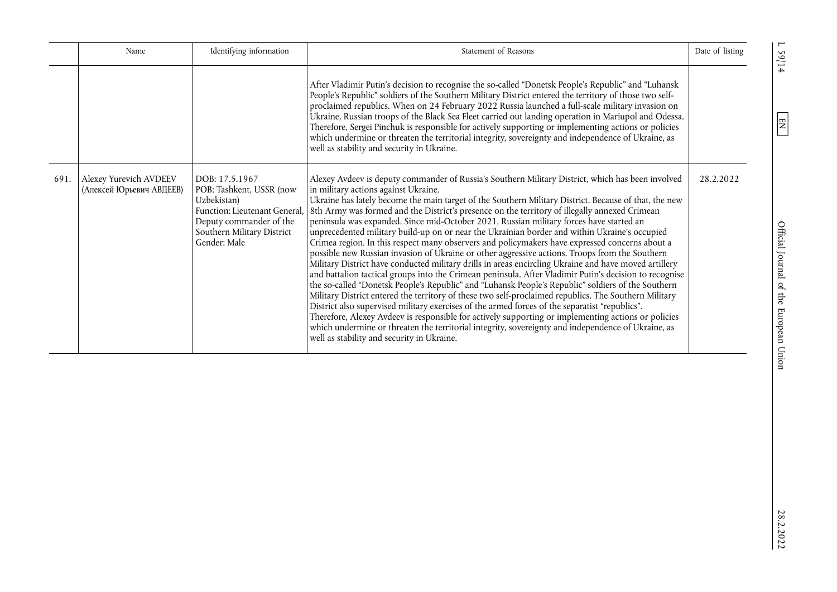|      | Name                                               | Identifying information                                                                                                                                             | Statement of Reasons                                                                                                                                                                                                                                                                                                                                                                                                                                                                                                                                                                                                                                                                                                                                                                                                                                                                                                                                                                                                                                                                                                                                                                                                                                                                                                                                                                                                                                                                                                                               | Date of listing |
|------|----------------------------------------------------|---------------------------------------------------------------------------------------------------------------------------------------------------------------------|----------------------------------------------------------------------------------------------------------------------------------------------------------------------------------------------------------------------------------------------------------------------------------------------------------------------------------------------------------------------------------------------------------------------------------------------------------------------------------------------------------------------------------------------------------------------------------------------------------------------------------------------------------------------------------------------------------------------------------------------------------------------------------------------------------------------------------------------------------------------------------------------------------------------------------------------------------------------------------------------------------------------------------------------------------------------------------------------------------------------------------------------------------------------------------------------------------------------------------------------------------------------------------------------------------------------------------------------------------------------------------------------------------------------------------------------------------------------------------------------------------------------------------------------------|-----------------|
|      |                                                    |                                                                                                                                                                     | After Vladimir Putin's decision to recognise the so-called "Donetsk People's Republic" and "Luhansk<br>People's Republic" soldiers of the Southern Military District entered the territory of those two self-<br>proclaimed republics. When on 24 February 2022 Russia launched a full-scale military invasion on<br>Ukraine, Russian troops of the Black Sea Fleet carried out landing operation in Mariupol and Odessa.<br>Therefore, Sergei Pinchuk is responsible for actively supporting or implementing actions or policies<br>which undermine or threaten the territorial integrity, sovereignty and independence of Ukraine, as<br>well as stability and security in Ukraine.                                                                                                                                                                                                                                                                                                                                                                                                                                                                                                                                                                                                                                                                                                                                                                                                                                                              |                 |
| 691. | Alexey Yurevich AVDEEV<br>(Алексей Юрьевич АВДЕЕВ) | DOB: 17.5.1967<br>POB: Tashkent, USSR (now<br>Uzbekistan)<br>Function: Lieutenant General,<br>Deputy commander of the<br>Southern Military District<br>Gender: Male | Alexey Avdeev is deputy commander of Russia's Southern Military District, which has been involved<br>in military actions against Ukraine.<br>Ukraine has lately become the main target of the Southern Military District. Because of that, the new<br>8th Army was formed and the District's presence on the territory of illegally annexed Crimean<br>peninsula was expanded. Since mid-October 2021, Russian military forces have started an<br>unprecedented military build-up on or near the Ukrainian border and within Ukraine's occupied<br>Crimea region. In this respect many observers and policymakers have expressed concerns about a<br>possible new Russian invasion of Ukraine or other aggressive actions. Troops from the Southern<br>Military District have conducted military drills in areas encircling Ukraine and have moved artillery<br>and battalion tactical groups into the Crimean peninsula. After Vladimir Putin's decision to recognise<br>the so-called "Donetsk People's Republic" and "Luhansk People's Republic" soldiers of the Southern<br>Military District entered the territory of these two self-proclaimed republics. The Southern Military<br>District also supervised military exercises of the armed forces of the separatist "republics".<br>Therefore, Alexey Avdeev is responsible for actively supporting or implementing actions or policies<br>which undermine or threaten the territorial integrity, sovereignty and independence of Ukraine, as<br>well as stability and security in Ukraine. | 28.2.2022       |

L 59/14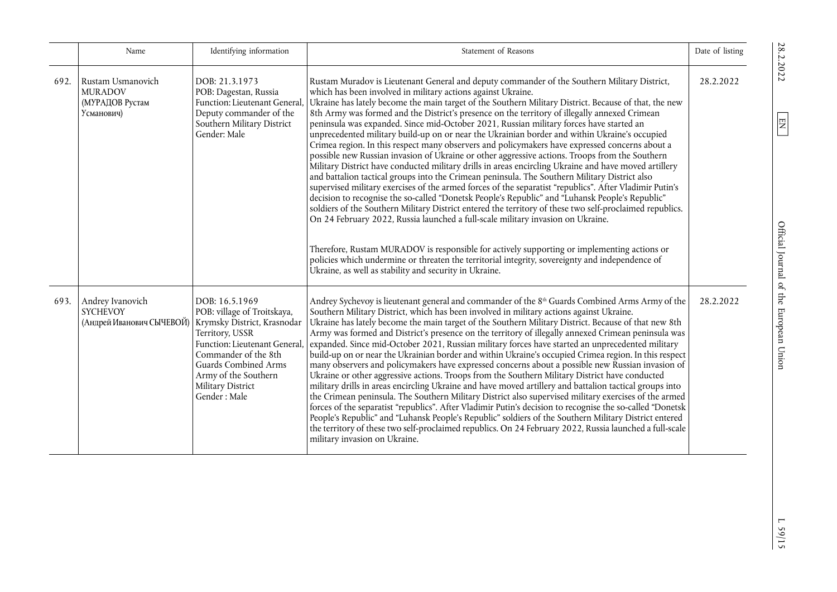|      | Name                                                                 | Identifying information                                                                                                                                                                                                                       | Statement of Reasons                                                                                                                                                                                                                                                                                                                                                                                                                                                                                                                                                                                                                                                                                                                                                                                                                                                                                                                                                                                                                                                                                                                                                                                                                                                                                                                                                                                                                                                                                                                                                                                                                                      | Date of listing |
|------|----------------------------------------------------------------------|-----------------------------------------------------------------------------------------------------------------------------------------------------------------------------------------------------------------------------------------------|-----------------------------------------------------------------------------------------------------------------------------------------------------------------------------------------------------------------------------------------------------------------------------------------------------------------------------------------------------------------------------------------------------------------------------------------------------------------------------------------------------------------------------------------------------------------------------------------------------------------------------------------------------------------------------------------------------------------------------------------------------------------------------------------------------------------------------------------------------------------------------------------------------------------------------------------------------------------------------------------------------------------------------------------------------------------------------------------------------------------------------------------------------------------------------------------------------------------------------------------------------------------------------------------------------------------------------------------------------------------------------------------------------------------------------------------------------------------------------------------------------------------------------------------------------------------------------------------------------------------------------------------------------------|-----------------|
| 692. | Rustam Usmanovich<br><b>MURADOV</b><br>(МУРАДОВ Рустам<br>Усманович) | DOB: 21.3.1973<br>POB: Dagestan, Russia<br>Function: Lieutenant General<br>Deputy commander of the<br>Southern Military District<br>Gender: Male                                                                                              | Rustam Muradov is Lieutenant General and deputy commander of the Southern Military District,<br>which has been involved in military actions against Ukraine.<br>Ukraine has lately become the main target of the Southern Military District. Because of that, the new<br>8th Army was formed and the District's presence on the territory of illegally annexed Crimean<br>peninsula was expanded. Since mid-October 2021, Russian military forces have started an<br>unprecedented military build-up on or near the Ukrainian border and within Ukraine's occupied<br>Crimea region. In this respect many observers and policymakers have expressed concerns about a<br>possible new Russian invasion of Ukraine or other aggressive actions. Troops from the Southern<br>Military District have conducted military drills in areas encircling Ukraine and have moved artillery<br>and battalion tactical groups into the Crimean peninsula. The Southern Military District also<br>supervised military exercises of the armed forces of the separatist "republics". After Vladimir Putin's<br>decision to recognise the so-called "Donetsk People's Republic" and "Luhansk People's Republic"<br>soldiers of the Southern Military District entered the territory of these two self-proclaimed republics.<br>On 24 February 2022, Russia launched a full-scale military invasion on Ukraine.<br>Therefore, Rustam MURADOV is responsible for actively supporting or implementing actions or<br>policies which undermine or threaten the territorial integrity, sovereignty and independence of<br>Ukraine, as well as stability and security in Ukraine. | 28.2.2022       |
| 693. | Andrey Ivanovich<br><b>SYCHEVOY</b><br>(Андрей Иванович СЫЧЕВОЙ)     | DOB: 16.5.1969<br>POB: village of Troitskaya,<br>Krymsky District, Krasnodar<br>Territory, USSR<br>Function: Lieutenant General,<br>Commander of the 8th<br>Guards Combined Arms<br>Army of the Southern<br>Military District<br>Gender: Male | Andrey Sychevoy is lieutenant general and commander of the 8 <sup>th</sup> Guards Combined Arms Army of the<br>Southern Military District, which has been involved in military actions against Ukraine.<br>Ukraine has lately become the main target of the Southern Military District. Because of that new 8th<br>Army was formed and District's presence on the territory of illegally annexed Crimean peninsula was<br>expanded. Since mid-October 2021, Russian military forces have started an unprecedented military<br>build-up on or near the Ukrainian border and within Ukraine's occupied Crimea region. In this respect<br>many observers and policymakers have expressed concerns about a possible new Russian invasion of<br>Ukraine or other aggressive actions. Troops from the Southern Military District have conducted<br>military drills in areas encircling Ukraine and have moved artillery and battalion tactical groups into<br>the Crimean peninsula. The Southern Military District also supervised military exercises of the armed<br>forces of the separatist "republics". After Vladimir Putin's decision to recognise the so-called "Donetsk<br>People's Republic" and "Luhansk People's Republic" soldiers of the Southern Military District entered<br>the territory of these two self-proclaimed republics. On 24 February 2022, Russia launched a full-scale<br>military invasion on Ukraine.                                                                                                                                                                                                                           | 28.2.2022       |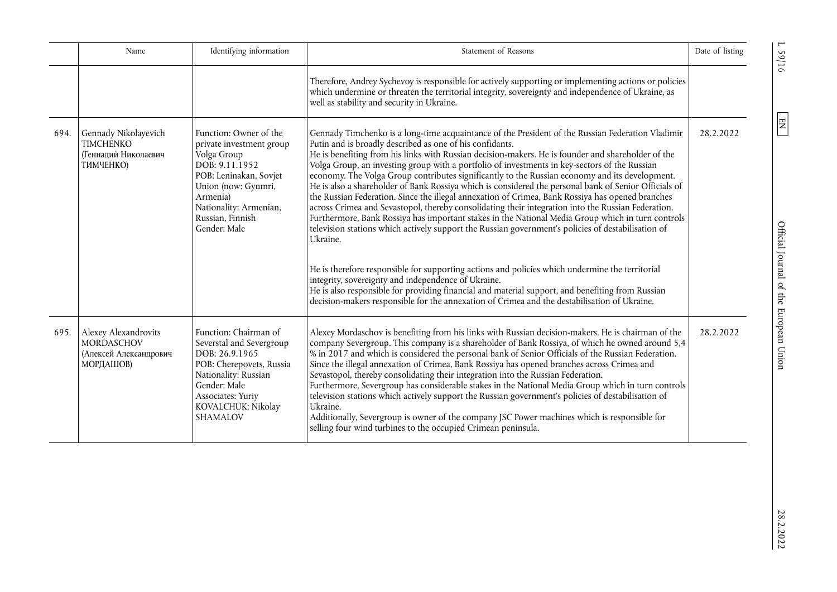|      | Name                                                                                    | Identifying information                                                                                                                                                                                        | Statement of Reasons                                                                                                                                                                                                                                                                                                                                                                                                                                                                                                                                                                                                                                                                                                                                                                                                                                                                                                                                                                                                                                                                                                                                                                                                                                                                                                                                                           | Date of listing |
|------|-----------------------------------------------------------------------------------------|----------------------------------------------------------------------------------------------------------------------------------------------------------------------------------------------------------------|--------------------------------------------------------------------------------------------------------------------------------------------------------------------------------------------------------------------------------------------------------------------------------------------------------------------------------------------------------------------------------------------------------------------------------------------------------------------------------------------------------------------------------------------------------------------------------------------------------------------------------------------------------------------------------------------------------------------------------------------------------------------------------------------------------------------------------------------------------------------------------------------------------------------------------------------------------------------------------------------------------------------------------------------------------------------------------------------------------------------------------------------------------------------------------------------------------------------------------------------------------------------------------------------------------------------------------------------------------------------------------|-----------------|
|      |                                                                                         |                                                                                                                                                                                                                | Therefore, Andrey Sychevoy is responsible for actively supporting or implementing actions or policies<br>which undermine or threaten the territorial integrity, sovereignty and independence of Ukraine, as<br>well as stability and security in Ukraine.                                                                                                                                                                                                                                                                                                                                                                                                                                                                                                                                                                                                                                                                                                                                                                                                                                                                                                                                                                                                                                                                                                                      |                 |
|      | 694. Gennady Nikolayevich<br><b>TIMCHENKO</b><br>(Геннадий Николаевич<br>ТИМЧЕНКО)      | Function: Owner of the<br>private investment group<br>Volga Group<br>DOB: 9.11.1952<br>POB: Leninakan, Sovjet<br>Union (now: Gyumri,<br>Armenia)<br>Nationality: Armenian,<br>Russian, Finnish<br>Gender: Male | Gennady Timchenko is a long-time acquaintance of the President of the Russian Federation Vladimir<br>Putin and is broadly described as one of his confidants.<br>He is benefiting from his links with Russian decision-makers. He is founder and shareholder of the<br>Volga Group, an investing group with a portfolio of investments in key-sectors of the Russian<br>economy. The Volga Group contributes significantly to the Russian economy and its development.<br>He is also a shareholder of Bank Rossiya which is considered the personal bank of Senior Officials of<br>the Russian Federation. Since the illegal annexation of Crimea, Bank Rossiya has opened branches<br>across Crimea and Sevastopol, thereby consolidating their integration into the Russian Federation.<br>Furthermore, Bank Rossiya has important stakes in the National Media Group which in turn controls<br>television stations which actively support the Russian government's policies of destabilisation of<br>Ukraine.<br>He is therefore responsible for supporting actions and policies which undermine the territorial<br>integrity, sovereignty and independence of Ukraine.<br>He is also responsible for providing financial and material support, and benefiting from Russian<br>decision-makers responsible for the annexation of Crimea and the destabilisation of Ukraine. | 28.2.2022       |
| 695. | Alexey Alexandrovits<br><b>MORDASCHOV</b><br>(Алексей Александрович<br><b>МОРДАШОВ)</b> | Function: Chairman of<br>Severstal and Severgroup<br>DOB: 26.9.1965<br>POB: Cherepovets, Russia<br>Nationality: Russian<br>Gender: Male<br>Associates: Yuriy<br>KOVALCHUK; Nikolay<br><b>SHAMALOV</b>          | Alexey Mordaschov is benefiting from his links with Russian decision-makers. He is chairman of the<br>company Severgroup. This company is a shareholder of Bank Rossiya, of which he owned around 5,4<br>% in 2017 and which is considered the personal bank of Senior Officials of the Russian Federation.<br>Since the illegal annexation of Crimea, Bank Rossiya has opened branches across Crimea and<br>Sevastopol, thereby consolidating their integration into the Russian Federation.<br>Furthermore, Severgroup has considerable stakes in the National Media Group which in turn controls<br>television stations which actively support the Russian government's policies of destabilisation of<br>Ukraine.<br>Additionally, Severgroup is owner of the company JSC Power machines which is responsible for<br>selling four wind turbines to the occupied Crimean peninsula.                                                                                                                                                                                                                                                                                                                                                                                                                                                                                         | 28.2.2022       |